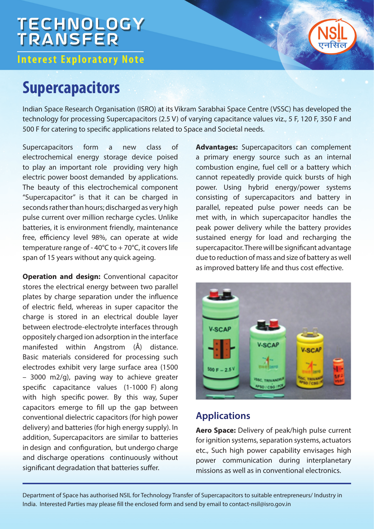# **TECHNOLOGY**<br>TRANSFER

**Interest Exploratory Note** 

### **Supercapacitors**

Indian Space Research Organisation (ISRO) at its Vikram Sarabhai Space Centre (VSSC) has developed the technology for processing Supercapacitors (2.5 V) of varying capacitance values viz., 5 F, 120 F, 350 F and 500 F for catering to specific applications related to Space and Societal needs.

Supercapacitors form a new class of electrochemical energy storage device poised to play an important role providing very high electric power boost demanded by applications. The beauty of this electrochemical component "Supercapacitor" is that it can be charged in seconds rather than hours; discharged as very high pulse current over million recharge cycles. Unlike batteries, it is environment friendly, maintenance free, efficiency level 98%, can operate at wide temperature range of -  $40^{\circ}$ C to +  $70^{\circ}$ C, it covers life span of 15 years without any quick ageing.

**Operation and design:** Conventional capacitor stores the electrical energy between two parallel plates by charge separation under the influence of electric field, whereas in super capacitor the charge is stored in an electrical double layer between electrode-electrolyte interfaces through oppositely charged ion adsorption in the interface manifested within Angstrom (Å) distance. Basic materials considered for processing such electrodes exhibit very large surface area (1500 – 3000 m2/g), paving way to achieve greater specific capacitance values (1-1000 F) along with high specific power. By this way, Super capacitors emerge to fill up the gap between conventional dielectric capacitors (for high power delivery) and batteries (for high energy supply). In addition, Supercapacitors are similar to batteries in design and configuration, but undergo charge and discharge operations continuously without significant degradation that batteries suffer.

**Advantages:** Supercapacitors can complement a primary energy source such as an internal combustion engine, fuel cell or a battery which cannot repeatedly provide quick bursts of high power. Using hybrid energy/power systems consisting of supercapacitors and battery in parallel, repeated pulse power needs can be met with, in which supercapacitor handles the peak power delivery while the battery provides sustained energy for load and recharging the supercapacitor. There will be significant advantage due to reduction of mass and size of battery as well as improved battery life and thus cost effective.



### **Applications**

**Aero Space:** Delivery of peak/high pulse current for ignition systems, separation systems, actuators etc., Such high power capability envisages high power communication during interplanetary missions as well as in conventional electronics.

Department of Space has authorised NSIL for Technology Transfer of Supercapacitors to suitable entrepreneurs/ Industry in India. Interested Parties may please fill the enclosed form and send by email to contact-nsil@isro.gov.in